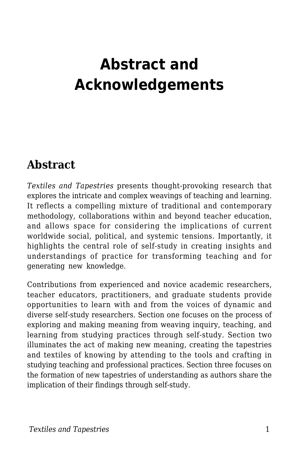## **Abstract and Acknowledgements**

## **Abstract**

*Textiles and Tapestries* presents thought-provoking research that explores the intricate and complex weavings of teaching and learning. It reflects a compelling mixture of traditional and contemporary methodology, collaborations within and beyond teacher education, and allows space for considering the implications of current worldwide social, political, and systemic tensions. Importantly, it highlights the central role of self-study in creating insights and understandings of practice for transforming teaching and for generating new knowledge.

Contributions from experienced and novice academic researchers, teacher educators, practitioners, and graduate students provide opportunities to learn with and from the voices of dynamic and diverse self-study researchers. Section one focuses on the process of exploring and making meaning from weaving inquiry, teaching, and learning from studying practices through self-study. Section two illuminates the act of making new meaning, creating the tapestries and textiles of knowing by attending to the tools and crafting in studying teaching and professional practices. Section three focuses on the formation of new tapestries of understanding as authors share the implication of their findings through self-study.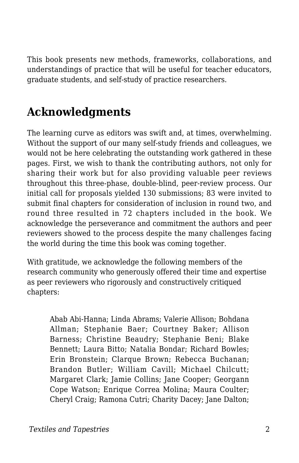This book presents new methods, frameworks, collaborations, and understandings of practice that will be useful for teacher educators, graduate students, and self-study of practice researchers.

## **Acknowledgments**

The learning curve as editors was swift and, at times, overwhelming. Without the support of our many self-study friends and colleagues, we would not be here celebrating the outstanding work gathered in these pages. First, we wish to thank the contributing authors, not only for sharing their work but for also providing valuable peer reviews throughout this three-phase, double-blind, peer-review process. Our initial call for proposals yielded 130 submissions; 83 were invited to submit final chapters for consideration of inclusion in round two, and round three resulted in 72 chapters included in the book. We acknowledge the perseverance and commitment the authors and peer reviewers showed to the process despite the many challenges facing the world during the time this book was coming together.

With gratitude, we acknowledge the following members of the research community who generously offered their time and expertise as peer reviewers who rigorously and constructively critiqued chapters:

Abab Abi-Hanna; Linda Abrams; Valerie Allison; Bohdana Allman; Stephanie Baer; Courtney Baker; Allison Barness; Christine Beaudry; Stephanie Beni; Blake Bennett; Laura Bitto; Natalia Bondar; Richard Bowles; Erin Bronstein; Clarque Brown; Rebecca Buchanan; Brandon Butler; William Cavill; Michael Chilcutt; Margaret Clark; Jamie Collins; Jane Cooper; Georgann Cope Watson; Enrique Correa Molina; Maura Coulter; Cheryl Craig; Ramona Cutri; Charity Dacey; Jane Dalton;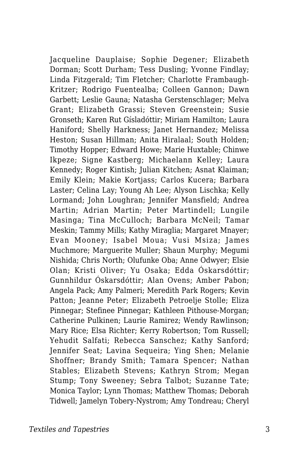Jacqueline Dauplaise; Sophie Degener; Elizabeth Dorman; Scott Durham; Tess Dusling; Yvonne Findlay; Linda Fitzgerald; Tim Fletcher; Charlotte Frambaugh-Kritzer; Rodrigo Fuentealba; Colleen Gannon; Dawn Garbett; Leslie Gauna; Natasha Gerstenschlager; Melva Grant; Elizabeth Grassi; Steven Greenstein; Susie Gronseth; Karen Rut Gísladóttir; Miriam Hamilton; Laura Haniford; Shelly Harkness; Janet Hernandez; Melissa Heston; Susan Hillman; Anita Hiralaal; South Holden; Timothy Hopper; Edward Howe; Marie Huxtable; Chinwe Ikpeze; Signe Kastberg; Michaelann Kelley; Laura Kennedy; Roger Kintish; Julian Kitchen; Asnat Klaiman; Emily Klein; Makie Kortjass; Carlos Kucera; Barbara Laster; Celina Lay; Young Ah Lee; Alyson Lischka; Kelly Lormand; John Loughran; Jennifer Mansfield; Andrea Martin; Adrian Martin; Peter Martindell; Lungile Masinga; Tina McCulloch; Barbara McNeil; Tamar Meskin; Tammy Mills; Kathy Miraglia; Margaret Mnayer; Evan Mooney; Isabel Moua; Vusi Msiza; James Muchmore; Marguerite Muller; Shaun Murphy; Megumi Nishida; Chris North; Olufunke Oba; Anne Odwyer; Elsie Olan; Kristi Oliver; Yu Osaka; Edda Óskarsdóttir; Gunnhildur Óskarsdóttir; Alan Ovens; Amber Pabon; Angela Pack; Amy Palmeri; Meredith Park Rogers; Kevin Patton; Jeanne Peter; Elizabeth Petroelje Stolle; Eliza Pinnegar; Stefinee Pinnegar; Kathleen Pithouse-Morgan; Catherine Pulkinen; Laurie Ramirez; Wendy Rawlinson; Mary Rice; Elsa Richter; Kerry Robertson; Tom Russell; Yehudit Salfati; Rebecca Sanschez; Kathy Sanford; Jennifer Seat; Lavina Sequeira; Ying Shen; Melanie Shoffner; Brandy Smith; Tamara Spencer; Nathan Stables; Elizabeth Stevens; Kathryn Strom; Megan Stump; Tony Sweeney; Sebra Talbot; Suzanne Tate; Monica Taylor; Lynn Thomas; Matthew Thomas; Deborah Tidwell; Jamelyn Tobery-Nystrom; Amy Tondreau; Cheryl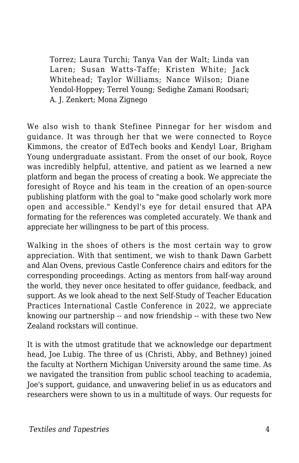Torrez; Laura Turchi; Tanya Van der Walt; Linda van Laren; Susan Watts-Taffe; Kristen White; Jack Whitehead; Taylor Williams; Nance Wilson; Diane Yendol-Hoppey; Terrel Young; Sedighe Zamani Roodsari; A. J. Zenkert; Mona Zignego

We also wish to thank Stefinee Pinnegar for her wisdom and guidance. It was through her that we were connected to Royce Kimmons, the creator of EdTech books and Kendyl Loar, Brigham Young undergraduate assistant. From the onset of our book, Royce was incredibly helpful, attentive, and patient as we learned a new platform and began the process of creating a book. We appreciate the foresight of Royce and his team in the creation of an open-source publishing platform with the goal to "make good scholarly work more open and accessible." Kendyl's eye for detail ensured that APA formating for the references was completed accurately. We thank and appreciate her willingness to be part of this process.

Walking in the shoes of others is the most certain way to grow appreciation. With that sentiment, we wish to thank Dawn Garbett and Alan Ovens, previous Castle Conference chairs and editors for the corresponding proceedings. Acting as mentors from half-way around the world, they never once hesitated to offer guidance, feedback, and support. As we look ahead to the next Self-Study of Teacher Education Practices International Castle Conference in 2022, we appreciate knowing our partnership -- and now friendship -- with these two New Zealand rockstars will continue.

It is with the utmost gratitude that we acknowledge our department head, Joe Lubig. The three of us (Christi, Abby, and Bethney) joined the faculty at Northern Michigan University around the same time. As we navigated the transition from public school teaching to academia, Joe's support, guidance, and unwavering belief in us as educators and researchers were shown to us in a multitude of ways. Our requests for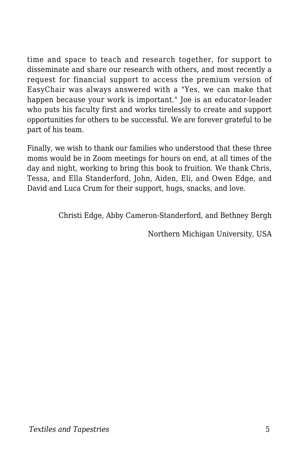time and space to teach and research together, for support to disseminate and share our research with others, and most recently a request for financial support to access the premium version of EasyChair was always answered with a "Yes, we can make that happen because your work is important." Joe is an educator-leader who puts his faculty first and works tirelessly to create and support opportunities for others to be successful. We are forever grateful to be part of his team.

Finally, we wish to thank our families who understood that these three moms would be in Zoom meetings for hours on end, at all times of the day and night, working to bring this book to fruition. We thank Chris, Tessa, and Ella Standerford, John, Aiden, Eli, and Owen Edge, and David and Luca Crum for their support, hugs, snacks, and love.

Christi Edge, Abby Cameron-Standerford, and Bethney Bergh

Northern Michigan University, USA